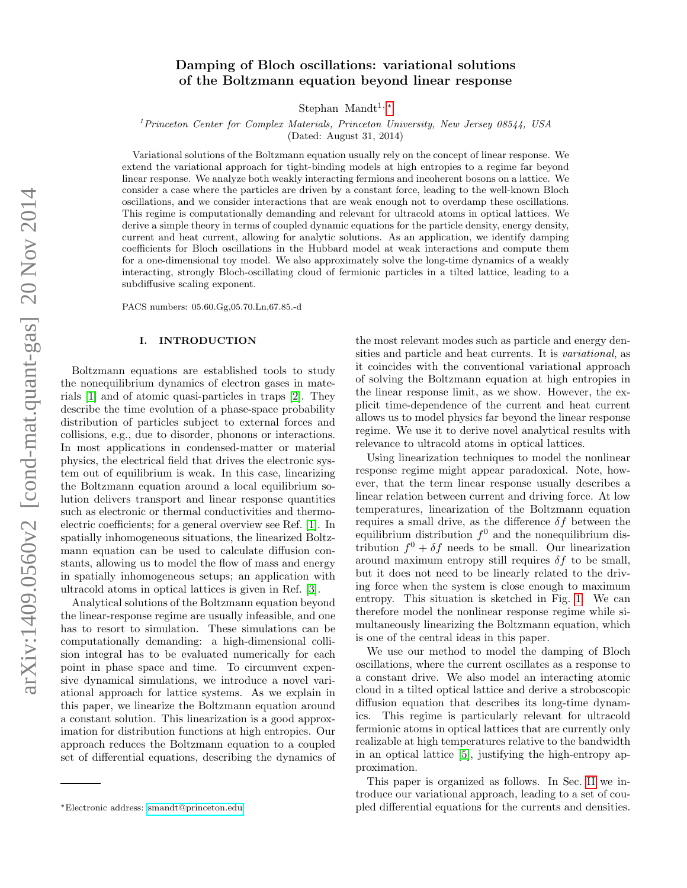# Damping of Bloch oscillations: variational solutions of the Boltzmann equation beyond linear response

Stephan Mandt<sup>1,\*</sup>

 $1<sup>1</sup> Princeton Center for Complex Materials, Princeton University, New Jersey 08544, USA$ 

(Dated: August 31, 2014)

Variational solutions of the Boltzmann equation usually rely on the concept of linear response. We extend the variational approach for tight-binding models at high entropies to a regime far beyond linear response. We analyze both weakly interacting fermions and incoherent bosons on a lattice. We consider a case where the particles are driven by a constant force, leading to the well-known Bloch oscillations, and we consider interactions that are weak enough not to overdamp these oscillations. This regime is computationally demanding and relevant for ultracold atoms in optical lattices. We derive a simple theory in terms of coupled dynamic equations for the particle density, energy density, current and heat current, allowing for analytic solutions. As an application, we identify damping coefficients for Bloch oscillations in the Hubbard model at weak interactions and compute them for a one-dimensional toy model. We also approximately solve the long-time dynamics of a weakly interacting, strongly Bloch-oscillating cloud of fermionic particles in a tilted lattice, leading to a subdiffusive scaling exponent.

PACS numbers: 05.60.Gg,05.70.Ln,67.85.-d

### I. INTRODUCTION

Boltzmann equations are established tools to study the nonequilibrium dynamics of electron gases in materials [\[1\]](#page-10-0) and of atomic quasi-particles in traps [\[2\]](#page-10-1). They describe the time evolution of a phase-space probability distribution of particles subject to external forces and collisions, e.g., due to disorder, phonons or interactions. In most applications in condensed-matter or material physics, the electrical field that drives the electronic system out of equilibrium is weak. In this case, linearizing the Boltzmann equation around a local equilibrium solution delivers transport and linear response quantities such as electronic or thermal conductivities and thermoelectric coefficients; for a general overview see Ref. [\[1\]](#page-10-0). In spatially inhomogeneous situations, the linearized Boltzmann equation can be used to calculate diffusion constants, allowing us to model the flow of mass and energy in spatially inhomogeneous setups; an application with ultracold atoms in optical lattices is given in Ref. [\[3\]](#page-10-2).

Analytical solutions of the Boltzmann equation beyond the linear-response regime are usually infeasible, and one has to resort to simulation. These simulations can be computationally demanding: a high-dimensional collision integral has to be evaluated numerically for each point in phase space and time. To circumvent expensive dynamical simulations, we introduce a novel variational approach for lattice systems. As we explain in this paper, we linearize the Boltzmann equation around a constant solution. This linearization is a good approximation for distribution functions at high entropies. Our approach reduces the Boltzmann equation to a coupled set of differential equations, describing the dynamics of

the most relevant modes such as particle and energy densities and particle and heat currents. It is variational, as it coincides with the conventional variational approach of solving the Boltzmann equation at high entropies in the linear response limit, as we show. However, the explicit time-dependence of the current and heat current allows us to model physics far beyond the linear response regime. We use it to derive novel analytical results with relevance to ultracold atoms in optical lattices.

Using linearization techniques to model the nonlinear response regime might appear paradoxical. Note, however, that the term linear response usually describes a linear relation between current and driving force. At low temperatures, linearization of the Boltzmann equation requires a small drive, as the difference  $\delta f$  between the equilibrium distribution  $f^0$  and the nonequilibrium distribution  $f^0 + \delta f$  needs to be small. Our linearization around maximum entropy still requires  $\delta f$  to be small, but it does not need to be linearly related to the driving force when the system is close enough to maximum entropy. This situation is sketched in Fig. [1.](#page-1-0) We can therefore model the nonlinear response regime while simultaneously linearizing the Boltzmann equation, which is one of the central ideas in this paper.

We use our method to model the damping of Bloch oscillations, where the current oscillates as a response to a constant drive. We also model an interacting atomic cloud in a tilted optical lattice and derive a stroboscopic diffusion equation that describes its long-time dynamics. This regime is particularly relevant for ultracold fermionic atoms in optical lattices that are currently only realizable at high temperatures relative to the bandwidth in an optical lattice [\[5\]](#page-10-3), justifying the high-entropy approximation.

This paper is organized as follows. In Sec. [II](#page-1-1) we introduce our variational approach, leading to a set of coupled differential equations for the currents and densities.

<span id="page-0-0"></span><sup>∗</sup>Electronic address: [smandt@princeton.edu](mailto:smandt@princeton.edu)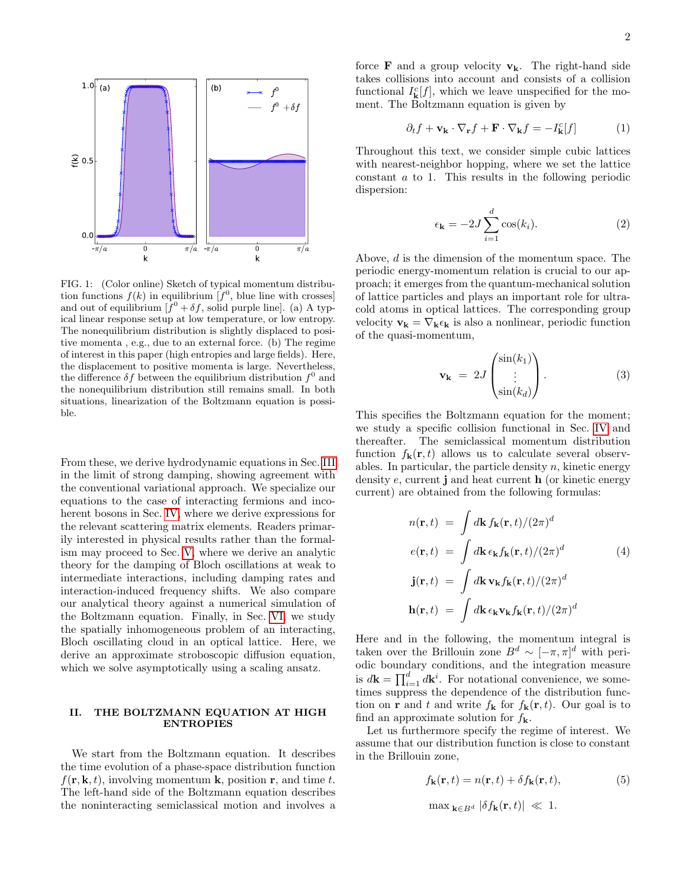

<span id="page-1-0"></span>FIG. 1: (Color online) Sketch of typical momentum distribution functions  $f(k)$  in equilibrium  $[f^0]$ , blue line with crosses and out of equilibrium  $f^0 + \delta f$ , solid purple line. (a) A typical linear response setup at low temperature, or low entropy. The nonequilibrium distribution is slightly displaced to positive momenta , e.g., due to an external force. (b) The regime of interest in this paper (high entropies and large fields). Here, the displacement to positive momenta is large. Nevertheless, the difference  $\delta f$  between the equilibrium distribution  $f^0$  and the nonequilibrium distribution still remains small. In both situations, linearization of the Boltzmann equation is possible.

From these, we derive hydrodynamic equations in Sec. [III](#page-3-0) in the limit of strong damping, showing agreement with the conventional variational approach. We specialize our equations to the case of interacting fermions and incoherent bosons in Sec. [IV,](#page-3-1) where we derive expressions for the relevant scattering matrix elements. Readers primarily interested in physical results rather than the formalism may proceed to Sec. [V,](#page-4-0) where we derive an analytic theory for the damping of Bloch oscillations at weak to intermediate interactions, including damping rates and interaction-induced frequency shifts. We also compare our analytical theory against a numerical simulation of the Boltzmann equation. Finally, in Sec. [VI,](#page-7-0) we study the spatially inhomogeneous problem of an interacting, Bloch oscillating cloud in an optical lattice. Here, we derive an approximate stroboscopic diffusion equation, which we solve asymptotically using a scaling ansatz.

### <span id="page-1-1"></span>II. THE BOLTZMANN EQUATION AT HIGH ENTROPIES

We start from the Boltzmann equation. It describes the time evolution of a phase-space distribution function  $f(\mathbf{r}, \mathbf{k}, t)$ , involving momentum **k**, position **r**, and time t. The left-hand side of the Boltzmann equation describes the noninteracting semiclassical motion and involves a force **F** and a group velocity  $v_k$ . The right-hand side takes collisions into account and consists of a collision functional  $I_{\mathbf{k}}^c[f]$ , which we leave unspecified for the moment. The Boltzmann equation is given by

$$
\partial_t f + \mathbf{v}_\mathbf{k} \cdot \nabla_\mathbf{r} f + \mathbf{F} \cdot \nabla_\mathbf{k} f = -I_\mathbf{k}^c[f] \tag{1}
$$

Throughout this text, we consider simple cubic lattices with nearest-neighbor hopping, where we set the lattice constant a to 1. This results in the following periodic dispersion:

$$
\epsilon_{\mathbf{k}} = -2J \sum_{i=1}^{d} \cos(k_i). \tag{2}
$$

Above, d is the dimension of the momentum space. The periodic energy-momentum relation is crucial to our approach; it emerges from the quantum-mechanical solution of lattice particles and plays an important role for ultracold atoms in optical lattices. The corresponding group velocity  $\mathbf{v}_{\mathbf{k}} = \nabla_{\mathbf{k}} \epsilon_{\mathbf{k}}$  is also a nonlinear, periodic function of the quasi-momentum,

$$
\mathbf{v}_{\mathbf{k}} = 2J \begin{pmatrix} \sin(k_1) \\ \vdots \\ \sin(k_d) \end{pmatrix} . \tag{3}
$$

This specifies the Boltzmann equation for the moment; we study a specific collision functional in Sec. [IV](#page-3-1) and thereafter. The semiclassical momentum distribution function  $f_{\bf k}({\bf r}, t)$  allows us to calculate several observables. In particular, the particle density  $n$ , kinetic energy density  $e$ , current j and heat current  $h$  (or kinetic energy current) are obtained from the following formulas:

$$
n(\mathbf{r},t) = \int d\mathbf{k} f_{\mathbf{k}}(\mathbf{r},t)/(2\pi)^{d}
$$
  
\n
$$
e(\mathbf{r},t) = \int d\mathbf{k} \epsilon_{\mathbf{k}} f_{\mathbf{k}}(\mathbf{r},t)/(2\pi)^{d}
$$
  
\n
$$
\mathbf{j}(\mathbf{r},t) = \int d\mathbf{k} \mathbf{v}_{\mathbf{k}} f_{\mathbf{k}}(\mathbf{r},t)/(2\pi)^{d}
$$
  
\n
$$
\mathbf{h}(\mathbf{r},t) = \int d\mathbf{k} \epsilon_{\mathbf{k}} \mathbf{v}_{\mathbf{k}} f_{\mathbf{k}}(\mathbf{r},t)/(2\pi)^{d}
$$

Here and in the following, the momentum integral is taken over the Brillouin zone  $B^d \sim [-\pi, \pi]^d$  with periodic boundary conditions, and the integration measure is  $d\mathbf{k} = \prod_{i=1}^{d} d\mathbf{k}^{i}$ . For notational convenience, we sometimes suppress the dependence of the distribution function on **r** and t and write  $f_{\mathbf{k}}$  for  $f_{\mathbf{k}}(\mathbf{r}, t)$ . Our goal is to find an approximate solution for  $f_{\mathbf{k}}$ .

Let us furthermore specify the regime of interest. We assume that our distribution function is close to constant in the Brillouin zone,

<span id="page-1-2"></span>
$$
f_{\mathbf{k}}(\mathbf{r},t) = n(\mathbf{r},t) + \delta f_{\mathbf{k}}(\mathbf{r},t),
$$
\n(5)

$$
\max_{\mathbf{k}\in B^d}|\delta f_{\mathbf{k}}(\mathbf{r},t)|\ll 1.
$$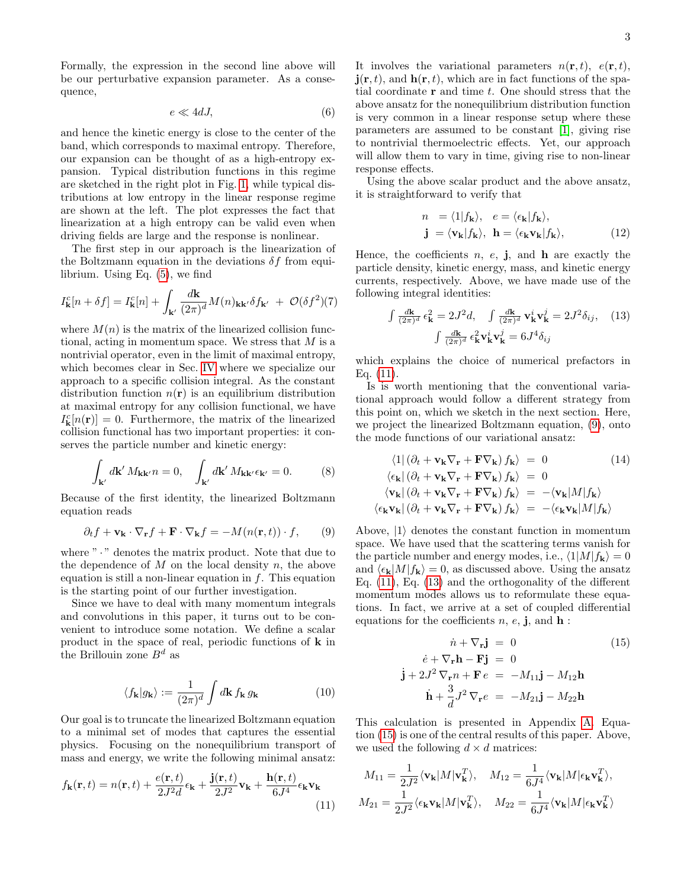Formally, the expression in the second line above will be our perturbative expansion parameter. As a consequence,

$$
e \ll 4dJ,\tag{6}
$$

and hence the kinetic energy is close to the center of the band, which corresponds to maximal entropy. Therefore, our expansion can be thought of as a high-entropy expansion. Typical distribution functions in this regime are sketched in the right plot in Fig. [1,](#page-1-0) while typical distributions at low entropy in the linear response regime are shown at the left. The plot expresses the fact that linearization at a high entropy can be valid even when driving fields are large and the response is nonlinear.

The first step in our approach is the linearization of the Boltzmann equation in the deviations  $\delta f$  from equilibrium. Using Eq. [\(5\)](#page-1-2), we find

<span id="page-2-4"></span>
$$
I_{\mathbf{k}}^{c}[n+\delta f] = I_{\mathbf{k}}^{c}[n] + \int_{\mathbf{k}'} \frac{d\mathbf{k}}{(2\pi)^{d}} M(n)_{\mathbf{k}\mathbf{k}'} \delta f_{\mathbf{k}'} + \mathcal{O}(\delta f^{2})(7)
$$

where  $M(n)$  is the matrix of the linearized collision functional, acting in momentum space. We stress that M is a nontrivial operator, even in the limit of maximal entropy, which becomes clear in Sec. [IV](#page-3-1) where we specialize our approach to a specific collision integral. As the constant distribution function  $n(\mathbf{r})$  is an equilibrium distribution at maximal entropy for any collision functional, we have  $I_{\mathbf{k}}^{c}[n(\mathbf{r})] = 0$ . Furthermore, the matrix of the linearized collision functional has two important properties: it conserves the particle number and kinetic energy:

$$
\int_{\mathbf{k}'} d\mathbf{k}' M_{\mathbf{k}\mathbf{k}'} n = 0, \quad \int_{\mathbf{k}'} d\mathbf{k}' M_{\mathbf{k}\mathbf{k}'} \epsilon_{\mathbf{k}'} = 0.
$$
 (8)

Because of the first identity, the linearized Boltzmann equation reads

<span id="page-2-1"></span>
$$
\partial_t f + \mathbf{v}_\mathbf{k} \cdot \nabla_\mathbf{r} f + \mathbf{F} \cdot \nabla_\mathbf{k} f = -M(n(\mathbf{r}, t)) \cdot f,\qquad(9)
$$

where "  $\cdot$  " denotes the matrix product. Note that due to the dependence of  $M$  on the local density  $n$ , the above equation is still a non-linear equation in  $f$ . This equation is the starting point of our further investigation.

Since we have to deal with many momentum integrals and convolutions in this paper, it turns out to be convenient to introduce some notation. We define a scalar product in the space of real, periodic functions of k in the Brillouin zone  $B^d$  as

<span id="page-2-6"></span>
$$
\langle f_{\mathbf{k}} | g_{\mathbf{k}} \rangle := \frac{1}{(2\pi)^d} \int d\mathbf{k} \, f_{\mathbf{k}} \, g_{\mathbf{k}} \tag{10}
$$

Our goal is to truncate the linearized Boltzmann equation to a minimal set of modes that captures the essential physics. Focusing on the nonequilibrium transport of mass and energy, we write the following minimal ansatz:

<span id="page-2-0"></span>
$$
f_{\mathbf{k}}(\mathbf{r},t) = n(\mathbf{r},t) + \frac{e(\mathbf{r},t)}{2J^2d}\epsilon_{\mathbf{k}} + \frac{\mathbf{j}(\mathbf{r},t)}{2J^2}\mathbf{v}_{\mathbf{k}} + \frac{\mathbf{h}(\mathbf{r},t)}{6J^4}\epsilon_{\mathbf{k}}\mathbf{v}_{\mathbf{k}}
$$
(11)

It involves the variational parameters  $n(\mathbf{r}, t)$ ,  $e(\mathbf{r}, t)$ ,  $\mathbf{j}(\mathbf{r},t)$ , and  $\mathbf{h}(\mathbf{r},t)$ , which are in fact functions of the spatial coordinate  $\bf{r}$  and time  $t$ . One should stress that the above ansatz for the nonequilibrium distribution function is very common in a linear response setup where these parameters are assumed to be constant [\[1\]](#page-10-0), giving rise to nontrivial thermoelectric effects. Yet, our approach will allow them to vary in time, giving rise to non-linear response effects.

Using the above scalar product and the above ansatz, it is straightforward to verify that

$$
n = \langle 1 | f_{\mathbf{k}} \rangle, e = \langle \epsilon_{\mathbf{k}} | f_{\mathbf{k}} \rangle,
$$
  

$$
\mathbf{j} = \langle \mathbf{v}_{\mathbf{k}} | f_{\mathbf{k}} \rangle, \mathbf{h} = \langle \epsilon_{\mathbf{k}} \mathbf{v}_{\mathbf{k}} | f_{\mathbf{k}} \rangle,
$$
 (12)

Hence, the coefficients  $n, e, j$ , and  $h$  are exactly the particle density, kinetic energy, mass, and kinetic energy currents, respectively. Above, we have made use of the following integral identities:

<span id="page-2-2"></span>
$$
\int \frac{d\mathbf{k}}{(2\pi)^d} \epsilon_\mathbf{k}^2 = 2J^2 d, \quad \int \frac{d\mathbf{k}}{(2\pi)^d} \mathbf{v}_\mathbf{k}^i \mathbf{v}_\mathbf{k}^j = 2J^2 \delta_{ij}, \quad (13)
$$

$$
\int \frac{d\mathbf{k}}{(2\pi)^d} \epsilon_\mathbf{k}^2 \mathbf{v}_\mathbf{k}^i \mathbf{v}_\mathbf{k}^j = 6J^4 \delta_{ij}
$$

which explains the choice of numerical prefactors in Eq.  $(11)$ .

Is is worth mentioning that the conventional variational approach would follow a different strategy from this point on, which we sketch in the next section. Here, we project the linearized Boltzmann equation, [\(9\)](#page-2-1), onto the mode functions of our variational ansatz:

<span id="page-2-5"></span>
$$
\langle 1 | (\partial_t + \mathbf{v}_k \nabla_r + \mathbf{F} \nabla_k) f_k \rangle = 0
$$
\n
$$
\langle \epsilon_k | (\partial_t + \mathbf{v}_k \nabla_r + \mathbf{F} \nabla_k) f_k \rangle = 0
$$
\n
$$
\langle \mathbf{v}_k | (\partial_t + \mathbf{v}_k \nabla_r + \mathbf{F} \nabla_k) f_k \rangle = -\langle \mathbf{v}_k | M | f_k \rangle
$$
\n
$$
\langle \epsilon_k \mathbf{v}_k | (\partial_t + \mathbf{v}_k \nabla_r + \mathbf{F} \nabla_k) f_k \rangle = -\langle \epsilon_k \mathbf{v}_k | M | f_k \rangle
$$

Above,  $|1\rangle$  denotes the constant function in momentum space. We have used that the scattering terms vanish for the particle number and energy modes, i.e.,  $\langle 1|M|f_{\mathbf{k}} \rangle = 0$ and  $\langle \epsilon_{\mathbf{k}} | M | f_{\mathbf{k}} \rangle = 0$ , as discussed above. Using the ansatz Eq. [\(11\)](#page-2-0), Eq. [\(13\)](#page-2-2) and the orthogonality of the different momentum modes allows us to reformulate these equations. In fact, we arrive at a set of coupled differential equations for the coefficients  $n, e, j$ , and  $h$ :

<span id="page-2-3"></span>
$$
\dot{n} + \nabla_{\mathbf{r}} \mathbf{j} = 0 \qquad (15)
$$
  
\n
$$
\dot{e} + \nabla_{\mathbf{r}} \mathbf{h} - \mathbf{F} \mathbf{j} = 0
$$
  
\n
$$
\mathbf{j} + 2J^2 \nabla_{\mathbf{r}} n + \mathbf{F} e = -M_{11} \mathbf{j} - M_{12} \mathbf{h}
$$
  
\n
$$
\dot{\mathbf{h}} + \frac{3}{d} J^2 \nabla_{\mathbf{r}} e = -M_{21} \mathbf{j} - M_{22} \mathbf{h}
$$

This calculation is presented in Appendix [A.](#page-11-0) Equation [\(15\)](#page-2-3) is one of the central results of this paper. Above, we used the following  $d \times d$  matrices:

$$
\begin{aligned} M_{11} &= \frac{1}{2J^2} \langle \mathbf{v}_{\mathbf{k}} | M | \mathbf{v}_{\mathbf{k}}^T \rangle, \quad M_{12} = \frac{1}{6J^4} \langle \mathbf{v}_{\mathbf{k}} | M | \epsilon_{\mathbf{k}} \mathbf{v}_{\mathbf{k}}^T \rangle, \\ M_{21} &= \frac{1}{2J^2} \langle \epsilon_{\mathbf{k}} \mathbf{v}_{\mathbf{k}} | M | \mathbf{v}_{\mathbf{k}}^T \rangle, \quad M_{22} = \frac{1}{6J^4} \langle \mathbf{v}_{\mathbf{k}} | M | \epsilon_{\mathbf{k}} \mathbf{v}_{\mathbf{k}}^T \rangle \end{aligned}
$$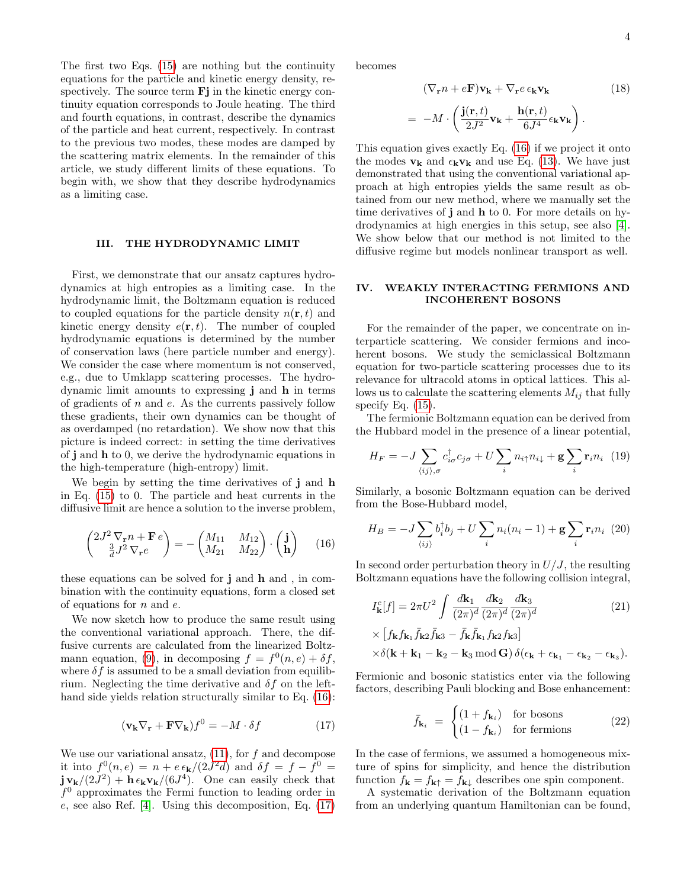The first two Eqs. [\(15\)](#page-2-3) are nothing but the continuity equations for the particle and kinetic energy density, respectively. The source term  $\mathbf{F}$  in the kinetic energy continuity equation corresponds to Joule heating. The third and fourth equations, in contrast, describe the dynamics of the particle and heat current, respectively. In contrast to the previous two modes, these modes are damped by the scattering matrix elements. In the remainder of this article, we study different limits of these equations. To begin with, we show that they describe hydrodynamics as a limiting case.

# <span id="page-3-0"></span>III. THE HYDRODYNAMIC LIMIT

First, we demonstrate that our ansatz captures hydrodynamics at high entropies as a limiting case. In the hydrodynamic limit, the Boltzmann equation is reduced to coupled equations for the particle density  $n(\mathbf{r}, t)$  and kinetic energy density  $e(\mathbf{r}, t)$ . The number of coupled hydrodynamic equations is determined by the number of conservation laws (here particle number and energy). We consider the case where momentum is not conserved, e.g., due to Umklapp scattering processes. The hydrodynamic limit amounts to expressing j and h in terms of gradients of  $n$  and  $e$ . As the currents passively follow these gradients, their own dynamics can be thought of as overdamped (no retardation). We show now that this picture is indeed correct: in setting the time derivatives of j and h to 0, we derive the hydrodynamic equations in the high-temperature (high-entropy) limit.

We begin by setting the time derivatives of j and h in Eq. [\(15\)](#page-2-3) to 0. The particle and heat currents in the diffusive limit are hence a solution to the inverse problem,

<span id="page-3-2"></span>
$$
\begin{pmatrix} 2J^2 \nabla_{\mathbf{r}} n + \mathbf{F} e \\ \frac{3}{d}J^2 \nabla_{\mathbf{r}} e \end{pmatrix} = - \begin{pmatrix} M_{11} & M_{12} \\ M_{21} & M_{22} \end{pmatrix} \cdot \begin{pmatrix} \mathbf{j} \\ \mathbf{h} \end{pmatrix} \tag{16}
$$

these equations can be solved for j and h and , in combination with the continuity equations, form a closed set of equations for  $n$  and  $e$ .

We now sketch how to produce the same result using the conventional variational approach. There, the diffusive currents are calculated from the linearized Boltz-mann equation, [\(9\)](#page-2-1), in decomposing  $f = f^0(n, e) + \delta f$ , where  $\delta f$  is assumed to be a small deviation from equilibrium. Neglecting the time derivative and  $\delta f$  on the lefthand side yields relation structurally similar to Eq.  $(16)$ :

<span id="page-3-3"></span>
$$
(\mathbf{v}_{\mathbf{k}} \nabla_{\mathbf{r}} + \mathbf{F} \nabla_{\mathbf{k}}) f^0 = -M \cdot \delta f \tag{17}
$$

We use our variational ansatz,  $(11)$ , for f and decompose it into  $f^0(n,e) = n + e \epsilon_{\mathbf{k}}/(2J^2d)$  and  $\delta f = f - f^0 =$  $j v_{k}/(2J^{2}) + h \epsilon_{k}v_{k}/(6J^{4})$ . One can easily check that  $f^0$  approximates the Fermi function to leading order in e, see also Ref. [\[4\]](#page-10-4). Using this decomposition, Eq. [\(17\)](#page-3-3)

becomes

$$
(\nabla_{\mathbf{r}} n + e\mathbf{F})\mathbf{v}_{\mathbf{k}} + \nabla_{\mathbf{r}} e \epsilon_{\mathbf{k}} \mathbf{v}_{\mathbf{k}} \qquad (18)
$$

$$
= -M \cdot \left(\frac{\mathbf{j}(\mathbf{r}, t)}{2J^2} \mathbf{v}_{\mathbf{k}} + \frac{\mathbf{h}(\mathbf{r}, t)}{6J^4} \epsilon_{\mathbf{k}} \mathbf{v}_{\mathbf{k}}\right).
$$

This equation gives exactly Eq. [\(16\)](#page-3-2) if we project it onto the modes  $v_k$  and  $\epsilon_k v_k$  and use Eq. [\(13\)](#page-2-2). We have just demonstrated that using the conventional variational approach at high entropies yields the same result as obtained from our new method, where we manually set the time derivatives of j and h to 0. For more details on hydrodynamics at high energies in this setup, see also [\[4\]](#page-10-4). We show below that our method is not limited to the diffusive regime but models nonlinear transport as well.

### <span id="page-3-1"></span>IV. WEAKLY INTERACTING FERMIONS AND INCOHERENT BOSONS

For the remainder of the paper, we concentrate on interparticle scattering. We consider fermions and incoherent bosons. We study the semiclassical Boltzmann equation for two-particle scattering processes due to its relevance for ultracold atoms in optical lattices. This allows us to calculate the scattering elements  $M_{ij}$  that fully specify Eq.  $(15)$ .

The fermionic Boltzmann equation can be derived from the Hubbard model in the presence of a linear potential,

$$
H_F = -J \sum_{\langle ij \rangle,\sigma} c_{i\sigma}^{\dagger} c_{j\sigma} + U \sum_i n_{i\uparrow} n_{i\downarrow} + \mathbf{g} \sum_i \mathbf{r}_i n_i \tag{19}
$$

Similarly, a bosonic Boltzmann equation can be derived from the Bose-Hubbard model,

$$
H_B = -J\sum_{\langle ij\rangle} b_i^{\dagger} b_j + U\sum_i n_i(n_i - 1) + \mathbf{g}\sum_i \mathbf{r}_i n_i \tag{20}
$$

In second order perturbation theory in  $U/J$ , the resulting Boltzmann equations have the following collision integral,

<span id="page-3-4"></span>
$$
I_{\mathbf{k}}^{c}[f] = 2\pi U^{2} \int \frac{d\mathbf{k}_{1}}{(2\pi)^{d}} \frac{d\mathbf{k}_{2}}{(2\pi)^{d}} \frac{d\mathbf{k}_{3}}{(2\pi)^{d}}
$$

$$
\times \left[ f_{\mathbf{k}} f_{\mathbf{k}_{1}} \bar{f}_{\mathbf{k}_{2}} \bar{f}_{\mathbf{k}_{3}} - \bar{f}_{\mathbf{k}} \bar{f}_{\mathbf{k}_{1}} f_{\mathbf{k}_{2}} f_{\mathbf{k}_{3}} \right]
$$
(21)

$$
\times \delta(\mathbf{k} + \mathbf{k}_1 - \mathbf{k}_2 - \mathbf{k}_3 \operatorname{mod} \mathbf{G}) \, \delta(\epsilon_{\mathbf{k}} + \epsilon_{\mathbf{k}_1} - \epsilon_{\mathbf{k}_2} - \epsilon_{\mathbf{k}_3}).
$$

Fermionic and bosonic statistics enter via the following factors, describing Pauli blocking and Bose enhancement:

$$
\bar{f}_{\mathbf{k}_i} = \begin{cases} (1 + f_{\mathbf{k}_i}) & \text{for bosons} \\ (1 - f_{\mathbf{k}_i}) & \text{for fermions} \end{cases}
$$
 (22)

In the case of fermions, we assumed a homogeneous mixture of spins for simplicity, and hence the distribution function  $f_{\mathbf{k}} = f_{\mathbf{k}\uparrow} = f_{\mathbf{k}\downarrow}$  describes one spin component.

A systematic derivation of the Boltzmann equation from an underlying quantum Hamiltonian can be found,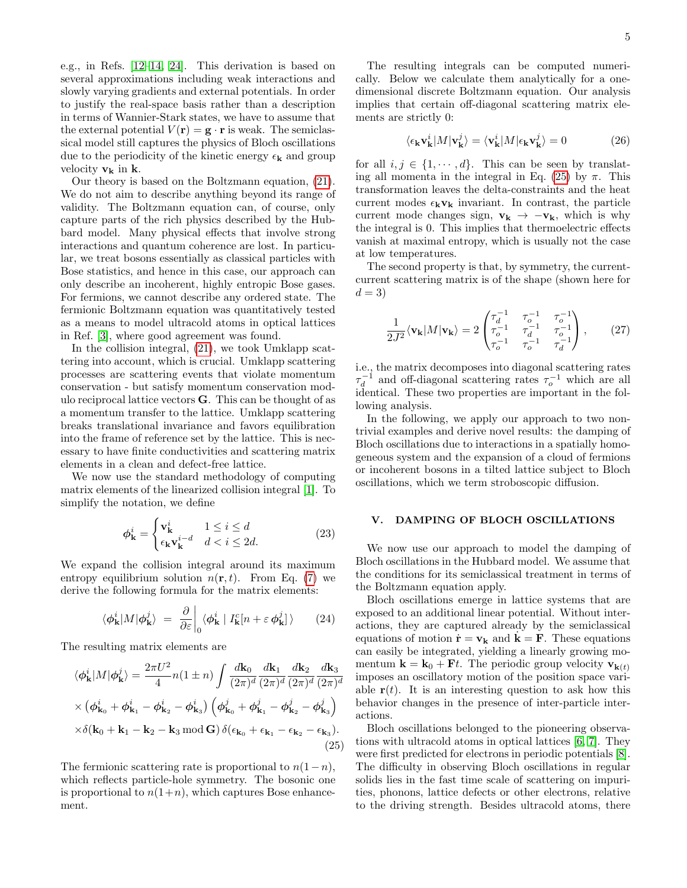e.g., in Refs. [\[12–](#page-10-5)[14,](#page-10-6) [24\]](#page-11-1). This derivation is based on several approximations including weak interactions and slowly varying gradients and external potentials. In order to justify the real-space basis rather than a description in terms of Wannier-Stark states, we have to assume that the external potential  $V(\mathbf{r}) = \mathbf{g} \cdot \mathbf{r}$  is weak. The semiclassical model still captures the physics of Bloch oscillations due to the periodicity of the kinetic energy  $\epsilon_{\mathbf{k}}$  and group velocity  $v_k$  in k.

Our theory is based on the Boltzmann equation, [\(21\)](#page-3-4). We do not aim to describe anything beyond its range of validity. The Boltzmann equation can, of course, only capture parts of the rich physics described by the Hubbard model. Many physical effects that involve strong interactions and quantum coherence are lost. In particular, we treat bosons essentially as classical particles with Bose statistics, and hence in this case, our approach can only describe an incoherent, highly entropic Bose gases. For fermions, we cannot describe any ordered state. The fermionic Boltzmann equation was quantitatively tested as a means to model ultracold atoms in optical lattices in Ref. [\[3\]](#page-10-2), where good agreement was found.

In the collision integral, [\(21\)](#page-3-4), we took Umklapp scattering into account, which is crucial. Umklapp scattering processes are scattering events that violate momentum conservation - but satisfy momentum conservation modulo reciprocal lattice vectors G. This can be thought of as a momentum transfer to the lattice. Umklapp scattering breaks translational invariance and favors equilibration into the frame of reference set by the lattice. This is necessary to have finite conductivities and scattering matrix elements in a clean and defect-free lattice.

We now use the standard methodology of computing matrix elements of the linearized collision integral [\[1\]](#page-10-0). To simplify the notation, we define

$$
\phi_{\mathbf{k}}^{i} = \begin{cases} \mathbf{v}_{\mathbf{k}}^{i} & 1 \leq i \leq d \\ \epsilon_{\mathbf{k}} \mathbf{v}_{\mathbf{k}}^{i-d} & d < i \leq 2d. \end{cases} \tag{23}
$$

We expand the collision integral around its maximum entropy equilibrium solution  $n(\mathbf{r}, t)$ . From Eq. [\(7\)](#page-2-4) we derive the following formula for the matrix elements:

$$
\langle \phi_{\mathbf{k}}^{i} | M | \phi_{\mathbf{k}}^{j} \rangle = \frac{\partial}{\partial \varepsilon} \bigg|_{0} \langle \phi_{\mathbf{k}}^{i} | I_{\mathbf{k}}^{c} [n + \varepsilon \phi_{\mathbf{k}}^{j}] \rangle \qquad (24)
$$

The resulting matrix elements are

<span id="page-4-1"></span>
$$
\langle \phi_{\mathbf{k}}^{i} | M | \phi_{\mathbf{k}}^{j} \rangle = \frac{2\pi U^{2}}{4} n(1 \pm n) \int \frac{d\mathbf{k}_{0}}{(2\pi)^{d}} \frac{d\mathbf{k}_{1}}{(2\pi)^{d}} \frac{d\mathbf{k}_{2}}{(2\pi)^{d}} \frac{d\mathbf{k}_{3}}{(2\pi)^{d}}
$$

$$
\times \left( \phi_{\mathbf{k}_{0}}^{i} + \phi_{\mathbf{k}_{1}}^{i} - \phi_{\mathbf{k}_{2}}^{i} - \phi_{\mathbf{k}_{3}}^{i} \right) \left( \phi_{\mathbf{k}_{0}}^{j} + \phi_{\mathbf{k}_{1}}^{j} - \phi_{\mathbf{k}_{2}}^{j} - \phi_{\mathbf{k}_{3}}^{j} \right)
$$

$$
\times \delta(\mathbf{k}_{0} + \mathbf{k}_{1} - \mathbf{k}_{2} - \mathbf{k}_{3} \mod \mathbf{G}) \delta(\epsilon_{\mathbf{k}_{0}} + \epsilon_{\mathbf{k}_{1}} - \epsilon_{\mathbf{k}_{2}} - \epsilon_{\mathbf{k}_{3}}).
$$
(25)

The fermionic scattering rate is proportional to  $n(1-n)$ , which reflects particle-hole symmetry. The bosonic one is proportional to  $n(1+n)$ , which captures Bose enhancement.

The resulting integrals can be computed numerically. Below we calculate them analytically for a onedimensional discrete Boltzmann equation. Our analysis implies that certain off-diagonal scattering matrix elements are strictly 0:

$$
\langle \epsilon_{\mathbf{k}} \mathbf{v}_{\mathbf{k}}^{i} | M | \mathbf{v}_{\mathbf{k}}^{j} \rangle = \langle \mathbf{v}_{\mathbf{k}}^{i} | M | \epsilon_{\mathbf{k}} \mathbf{v}_{\mathbf{k}}^{j} \rangle = 0 \tag{26}
$$

for all  $i, j \in \{1, \dots, d\}$ . This can be seen by translat-ing all momenta in the integral in Eq. [\(25\)](#page-4-1) by  $\pi$ . This transformation leaves the delta-constraints and the heat current modes  $\epsilon_k v_k$  invariant. In contrast, the particle current mode changes sign,  $v_k \rightarrow -v_k$ , which is why the integral is 0. This implies that thermoelectric effects vanish at maximal entropy, which is usually not the case at low temperatures.

The second property is that, by symmetry, the currentcurrent scattering matrix is of the shape (shown here for  $d=3$ 

<span id="page-4-2"></span>
$$
\frac{1}{2J^2} \langle \mathbf{v}_{\mathbf{k}} | M | \mathbf{v}_{\mathbf{k}} \rangle = 2 \begin{pmatrix} \tau_d^{-1} & \tau_o^{-1} & \tau_o^{-1} \\ \tau_o^{-1} & \tau_d^{-1} & \tau_o^{-1} \\ \tau_o^{-1} & \tau_o^{-1} & \tau_a^{-1} \end{pmatrix}, \qquad (27)
$$

i.e., the matrix decomposes into diagonal scattering rates  $\tau_d^{-1}$  and off-diagonal scattering rates  $\tau_o^{-1}$  which are all identical. These two properties are important in the following analysis.

In the following, we apply our approach to two nontrivial examples and derive novel results: the damping of Bloch oscillations due to interactions in a spatially homogeneous system and the expansion of a cloud of fermions or incoherent bosons in a tilted lattice subject to Bloch oscillations, which we term stroboscopic diffusion.

# <span id="page-4-0"></span>V. DAMPING OF BLOCH OSCILLATIONS

We now use our approach to model the damping of Bloch oscillations in the Hubbard model. We assume that the conditions for its semiclassical treatment in terms of the Boltzmann equation apply.

Bloch oscillations emerge in lattice systems that are exposed to an additional linear potential. Without interactions, they are captured already by the semiclassical equations of motion  $\dot{\mathbf{r}} = \mathbf{v}_k$  and  $\dot{\mathbf{k}} = \mathbf{F}$ . These equations can easily be integrated, yielding a linearly growing momentum  $\mathbf{k} = \mathbf{k}_0 + \mathbf{F}t$ . The periodic group velocity  $\mathbf{v}_{\mathbf{k}(t)}$ imposes an oscillatory motion of the position space variable  $r(t)$ . It is an interesting question to ask how this behavior changes in the presence of inter-particle interactions.

Bloch oscillations belonged to the pioneering observations with ultracold atoms in optical lattices [\[6,](#page-10-7) [7\]](#page-10-8). They were first predicted for electrons in periodic potentials [\[8\]](#page-10-9). The difficulty in observing Bloch oscillations in regular solids lies in the fast time scale of scattering on impurities, phonons, lattice defects or other electrons, relative to the driving strength. Besides ultracold atoms, there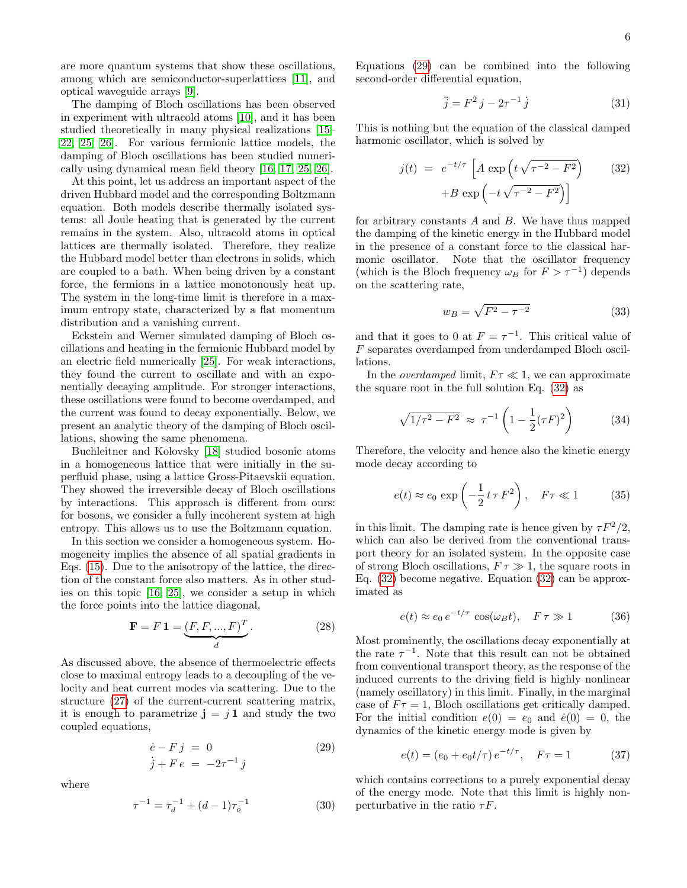are more quantum systems that show these oscillations, among which are semiconductor-superlattices [\[11\]](#page-10-10), and optical waveguide arrays [\[9\]](#page-10-11).

The damping of Bloch oscillations has been observed in experiment with ultracold atoms [\[10\]](#page-10-12), and it has been studied theoretically in many physical realizations [\[15–](#page-10-13) [22,](#page-11-2) [25,](#page-11-3) [26\]](#page-11-4). For various fermionic lattice models, the damping of Bloch oscillations has been studied numerically using dynamical mean field theory [\[16,](#page-10-14) [17,](#page-10-15) [25,](#page-11-3) [26\]](#page-11-4).

At this point, let us address an important aspect of the driven Hubbard model and the corresponding Boltzmann equation. Both models describe thermally isolated systems: all Joule heating that is generated by the current remains in the system. Also, ultracold atoms in optical lattices are thermally isolated. Therefore, they realize the Hubbard model better than electrons in solids, which are coupled to a bath. When being driven by a constant force, the fermions in a lattice monotonously heat up. The system in the long-time limit is therefore in a maximum entropy state, characterized by a flat momentum distribution and a vanishing current.

Eckstein and Werner simulated damping of Bloch oscillations and heating in the fermionic Hubbard model by an electric field numerically [\[25\]](#page-11-3). For weak interactions, they found the current to oscillate and with an exponentially decaying amplitude. For stronger interactions, these oscillations were found to become overdamped, and the current was found to decay exponentially. Below, we present an analytic theory of the damping of Bloch oscillations, showing the same phenomena.

Buchleitner and Kolovsky [\[18\]](#page-11-5) studied bosonic atoms in a homogeneous lattice that were initially in the superfluid phase, using a lattice Gross-Pitaevskii equation. They showed the irreversible decay of Bloch oscillations by interactions. This approach is different from ours: for bosons, we consider a fully incoherent system at high entropy. This allows us to use the Boltzmann equation.

In this section we consider a homogeneous system. Homogeneity implies the absence of all spatial gradients in Eqs. [\(15\)](#page-2-3). Due to the anisotropy of the lattice, the direction of the constant force also matters. As in other studies on this topic [\[16,](#page-10-14) [25\]](#page-11-3), we consider a setup in which the force points into the lattice diagonal,

$$
\mathbf{F} = F \mathbf{1} = \underbrace{(F, F, ..., F)^T}_{d}.
$$
 (28)

As discussed above, the absence of thermoelectric effects close to maximal entropy leads to a decoupling of the velocity and heat current modes via scattering. Due to the structure [\(27\)](#page-4-2) of the current-current scattering matrix, it is enough to parametrize  $\mathbf{j} = j \mathbf{1}$  and study the two coupled equations,

<span id="page-5-0"></span>
$$
\dot{e} - Fj = 0
$$
  
\n
$$
\dot{j} + Fe = -2\tau^{-1}j
$$
\n(29)

where

$$
\tau^{-1} = \tau_d^{-1} + (d - 1)\tau_o^{-1} \tag{30}
$$

Equations [\(29\)](#page-5-0) can be combined into the following second-order differential equation,

$$
\ddot{j} = F^2 j - 2\tau^{-1} \dot{j} \tag{31}
$$

This is nothing but the equation of the classical damped harmonic oscillator, which is solved by

<span id="page-5-1"></span>
$$
j(t) = e^{-t/\tau} \left[ A \exp\left( t \sqrt{\tau^{-2} - F^2} \right) \right]
$$

$$
+ B \exp\left( -t \sqrt{\tau^{-2} - F^2} \right) \right]
$$
(32)

for arbitrary constants  $A$  and  $B$ . We have thus mapped the damping of the kinetic energy in the Hubbard model in the presence of a constant force to the classical harmonic oscillator. Note that the oscillator frequency (which is the Bloch frequency  $\omega_B$  for  $F > \tau^{-1}$ ) depends on the scattering rate,

$$
w_B = \sqrt{F^2 - \tau^{-2}}\tag{33}
$$

and that it goes to 0 at  $F = \tau^{-1}$ . This critical value of F separates overdamped from underdamped Bloch oscillations.

In the *overdamped* limit,  $F\tau \ll 1$ , we can approximate the square root in the full solution Eq. [\(32\)](#page-5-1) as

$$
\sqrt{1/\tau^2 - F^2} \approx \tau^{-1} \left( 1 - \frac{1}{2} (\tau F)^2 \right) \tag{34}
$$

Therefore, the velocity and hence also the kinetic energy mode decay according to

<span id="page-5-2"></span>
$$
e(t) \approx e_0 \exp\left(-\frac{1}{2}t\,\tau\,F^2\right), \quad F\tau \ll 1 \tag{35}
$$

in this limit. The damping rate is hence given by  $\tau F^2/2$ , which can also be derived from the conventional transport theory for an isolated system. In the opposite case of strong Bloch oscillations,  $F \tau \gg 1$ , the square roots in Eq. [\(32\)](#page-5-1) become negative. Equation [\(32\)](#page-5-1) can be approximated as

<span id="page-5-3"></span>
$$
e(t) \approx e_0 e^{-t/\tau} \cos(\omega_B t), \quad F \tau \gg 1 \tag{36}
$$

Most prominently, the oscillations decay exponentially at the rate  $\tau^{-1}$ . Note that this result can not be obtained from conventional transport theory, as the response of the induced currents to the driving field is highly nonlinear (namely oscillatory) in this limit. Finally, in the marginal case of  $F\tau = 1$ , Bloch oscillations get critically damped. For the initial condition  $e(0) = e_0$  and  $\dot{e}(0) = 0$ , the dynamics of the kinetic energy mode is given by

<span id="page-5-4"></span>
$$
e(t) = (e_0 + e_0 t/\tau) e^{-t/\tau}, \quad F\tau = 1 \tag{37}
$$

which contains corrections to a purely exponential decay of the energy mode. Note that this limit is highly nonperturbative in the ratio  $\tau F$ .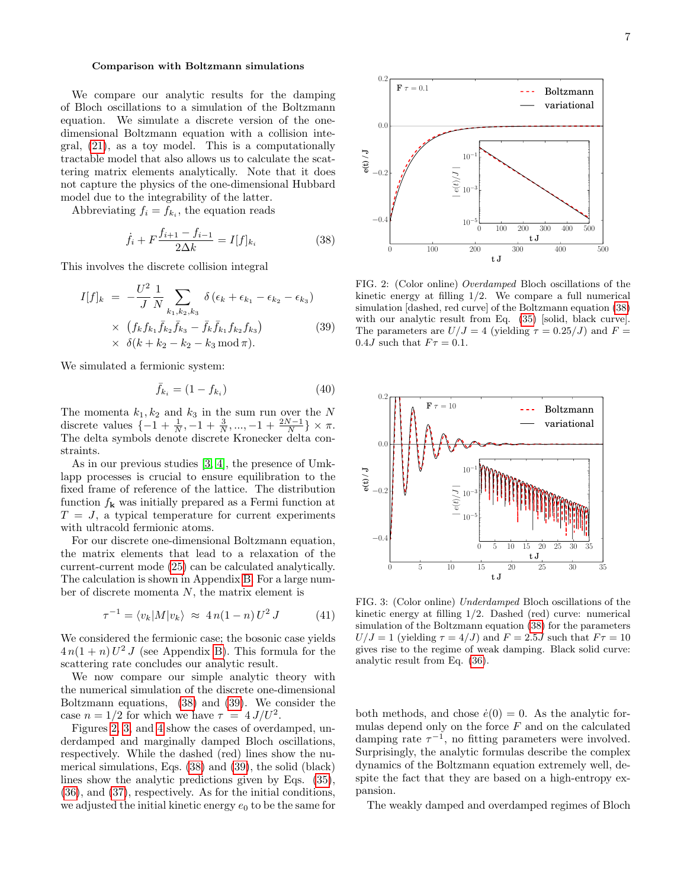#### Comparison with Boltzmann simulations

We compare our analytic results for the damping of Bloch oscillations to a simulation of the Boltzmann equation. We simulate a discrete version of the onedimensional Boltzmann equation with a collision integral, [\(21\)](#page-3-4), as a toy model. This is a computationally tractable model that also allows us to calculate the scattering matrix elements analytically. Note that it does not capture the physics of the one-dimensional Hubbard model due to the integrability of the latter.

Abbreviating  $f_i = f_{k_i}$ , the equation reads

<span id="page-6-0"></span>
$$
\dot{f}_i + F \frac{f_{i+1} - f_{i-1}}{2\Delta k} = I[f]_{k_i}
$$
\n(38)

This involves the discrete collision integral

<span id="page-6-1"></span>
$$
I[f]_k = -\frac{U^2}{J} \frac{1}{N} \sum_{k_1, k_2, k_3} \delta(\epsilon_k + \epsilon_{k_1} - \epsilon_{k_2} - \epsilon_{k_3})
$$
  
 
$$
\times \left( f_k f_{k_1} \bar{f}_{k_2} \bar{f}_{k_3} - \bar{f}_k \bar{f}_{k_1} f_{k_2} f_{k_3} \right)
$$
  
 
$$
\times \delta(k + k_2 - k_2 - k_3 \mod \pi).
$$
 (39)

We simulated a fermionic system:

$$
\bar{f}_{k_i} = (1 - f_{k_i})
$$
\n(40)

The momenta  $k_1, k_2$  and  $k_3$  in the sum run over the N discrete values  $\{-1 + \frac{1}{N}, -1 + \frac{3}{N}, ..., -1 + \frac{2N-1}{N}\}\times \pi$ . The delta symbols denote discrete Kronecker delta constraints.

As in our previous studies [\[3,](#page-10-2) [4\]](#page-10-4), the presence of Umklapp processes is crucial to ensure equilibration to the fixed frame of reference of the lattice. The distribution function  $f_{\mathbf{k}}$  was initially prepared as a Fermi function at  $T = J$ , a typical temperature for current experiments with ultracold fermionic atoms.

For our discrete one-dimensional Boltzmann equation, the matrix elements that lead to a relaxation of the current-current mode [\(25\)](#page-4-1) can be calculated analytically. The calculation is shown in Appendix [B.](#page-11-6) For a large number of discrete momenta  $N$ , the matrix element is

$$
\tau^{-1} = \langle v_k | M | v_k \rangle \approx 4 n (1 - n) U^2 J \qquad (41)
$$

We considered the fermionic case; the bosonic case yields  $4n(1 + n)U^2J$  (see Appendix [B\)](#page-11-6). This formula for the scattering rate concludes our analytic result.

We now compare our simple analytic theory with the numerical simulation of the discrete one-dimensional Boltzmann equations, [\(38\)](#page-6-0) and [\(39\)](#page-6-1). We consider the case  $n = 1/2$  for which we have  $\tau = 4 J/U^2$ .

Figures [2,](#page-6-2) [3,](#page-6-3) and [4](#page-7-1) show the cases of overdamped, underdamped and marginally damped Bloch oscillations, respectively. While the dashed (red) lines show the numerical simulations, Eqs. [\(38\)](#page-6-0) and [\(39\)](#page-6-1), the solid (black) lines show the analytic predictions given by Eqs. [\(35\)](#page-5-2), [\(36\)](#page-5-3), and [\(37\)](#page-5-4), respectively. As for the initial conditions, we adjusted the initial kinetic energy  $e_0$  to be the same for



<span id="page-6-2"></span>FIG. 2: (Color online) Overdamped Bloch oscillations of the kinetic energy at filling 1/2. We compare a full numerical simulation [dashed, red curve] of the Boltzmann equation [\(38\)](#page-6-0) with our analytic result from Eq. [\(35\)](#page-5-2) [solid, black curve]. The parameters are  $U/J = 4$  (yielding  $\tau = 0.25/J$ ) and  $F =$ 0.4J such that  $F\tau = 0.1$ .



<span id="page-6-3"></span>FIG. 3: (Color online) Underdamped Bloch oscillations of the kinetic energy at filling 1/2. Dashed (red) curve: numerical simulation of the Boltzmann equation [\(38\)](#page-6-0) for the parameters  $U/J = 1$  (yielding  $\tau = 4/J$ ) and  $F = 2.5J$  such that  $F\tau = 10$ gives rise to the regime of weak damping. Black solid curve: analytic result from Eq. [\(36\)](#page-5-3).

both methods, and chose  $\dot{e}(0) = 0$ . As the analytic formulas depend only on the force  $F$  and on the calculated damping rate  $\tau^{-1}$ , no fitting parameters were involved. Surprisingly, the analytic formulas describe the complex dynamics of the Boltzmann equation extremely well, despite the fact that they are based on a high-entropy expansion.

The weakly damped and overdamped regimes of Bloch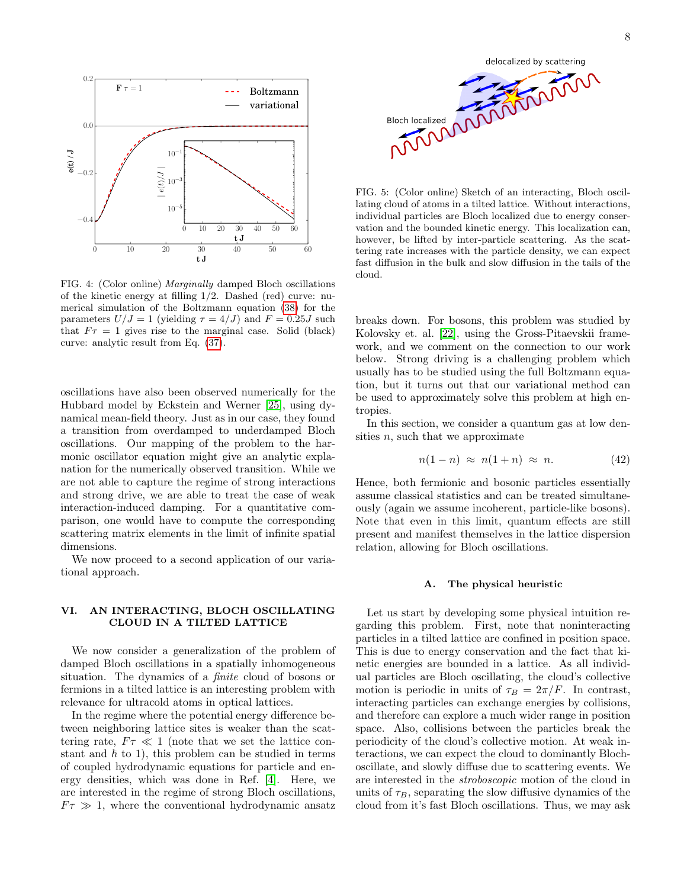

<span id="page-7-1"></span>FIG. 4: (Color online) Marginally damped Bloch oscillations of the kinetic energy at filling 1/2. Dashed (red) curve: numerical simulation of the Boltzmann equation [\(38\)](#page-6-0) for the parameters  $U/J = 1$  (yielding  $\tau = 4/J$ ) and  $F = 0.25J$  such that  $F\tau = 1$  gives rise to the marginal case. Solid (black) curve: analytic result from Eq. [\(37\)](#page-5-4).

oscillations have also been observed numerically for the Hubbard model by Eckstein and Werner [\[25\]](#page-11-3), using dynamical mean-field theory. Just as in our case, they found a transition from overdamped to underdamped Bloch oscillations. Our mapping of the problem to the harmonic oscillator equation might give an analytic explanation for the numerically observed transition. While we are not able to capture the regime of strong interactions and strong drive, we are able to treat the case of weak interaction-induced damping. For a quantitative comparison, one would have to compute the corresponding scattering matrix elements in the limit of infinite spatial dimensions.

We now proceed to a second application of our variational approach.

## <span id="page-7-0"></span>VI. AN INTERACTING, BLOCH OSCILLATING CLOUD IN A TILTED LATTICE

We now consider a generalization of the problem of damped Bloch oscillations in a spatially inhomogeneous situation. The dynamics of a finite cloud of bosons or fermions in a tilted lattice is an interesting problem with relevance for ultracold atoms in optical lattices.

In the regime where the potential energy difference between neighboring lattice sites is weaker than the scattering rate,  $F\tau \ll 1$  (note that we set the lattice constant and  $\hbar$  to 1), this problem can be studied in terms of coupled hydrodynamic equations for particle and energy densities, which was done in Ref. [\[4\]](#page-10-4). Here, we are interested in the regime of strong Bloch oscillations,  $F \tau \gg 1$ , where the conventional hydrodynamic ansatz



<span id="page-7-2"></span>FIG. 5: (Color online) Sketch of an interacting, Bloch oscillating cloud of atoms in a tilted lattice. Without interactions, individual particles are Bloch localized due to energy conservation and the bounded kinetic energy. This localization can, however, be lifted by inter-particle scattering. As the scattering rate increases with the particle density, we can expect fast diffusion in the bulk and slow diffusion in the tails of the cloud.

breaks down. For bosons, this problem was studied by Kolovsky et. al. [\[22\]](#page-11-2), using the Gross-Pitaevskii framework, and we comment on the connection to our work below. Strong driving is a challenging problem which usually has to be studied using the full Boltzmann equation, but it turns out that our variational method can be used to approximately solve this problem at high entropies.

In this section, we consider a quantum gas at low densities  $n$ , such that we approximate

$$
n(1-n) \approx n(1+n) \approx n. \tag{42}
$$

Hence, both fermionic and bosonic particles essentially assume classical statistics and can be treated simultaneously (again we assume incoherent, particle-like bosons). Note that even in this limit, quantum effects are still present and manifest themselves in the lattice dispersion relation, allowing for Bloch oscillations.

#### A. The physical heuristic

Let us start by developing some physical intuition regarding this problem. First, note that noninteracting particles in a tilted lattice are confined in position space. This is due to energy conservation and the fact that kinetic energies are bounded in a lattice. As all individual particles are Bloch oscillating, the cloud's collective motion is periodic in units of  $\tau_B = 2\pi/F$ . In contrast, interacting particles can exchange energies by collisions, and therefore can explore a much wider range in position space. Also, collisions between the particles break the periodicity of the cloud's collective motion. At weak interactions, we can expect the cloud to dominantly Blochoscillate, and slowly diffuse due to scattering events. We are interested in the stroboscopic motion of the cloud in units of  $\tau_B$ , separating the slow diffusive dynamics of the cloud from it's fast Bloch oscillations. Thus, we may ask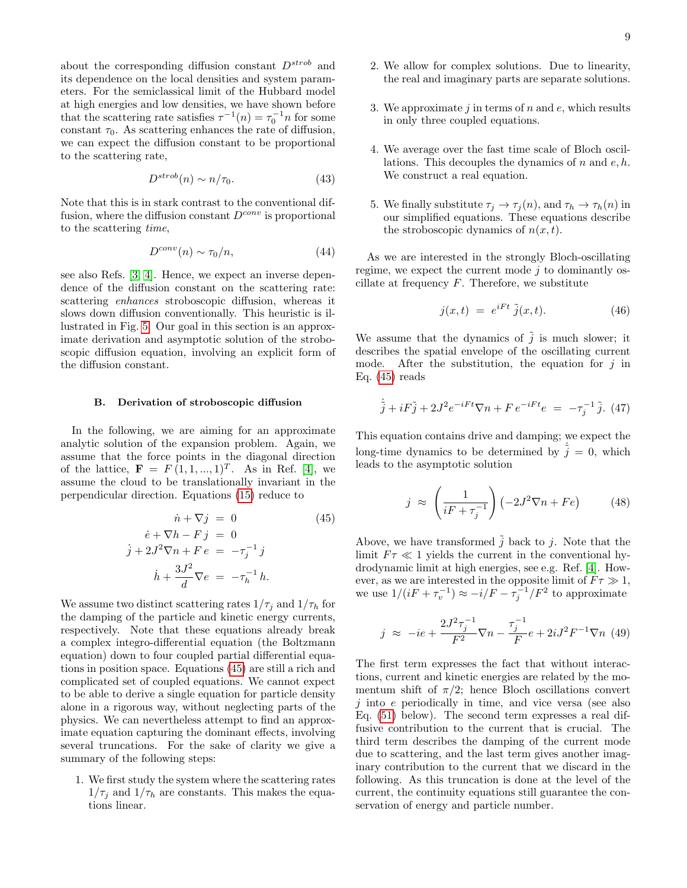about the corresponding diffusion constant  $D^{strob}$  and its dependence on the local densities and system parameters. For the semiclassical limit of the Hubbard model at high energies and low densities, we have shown before that the scattering rate satisfies  $\tau^{-1}(n) = \tau_0^{-1} n$  for some constant  $\tau_0$ . As scattering enhances the rate of diffusion, we can expect the diffusion constant to be proportional to the scattering rate,

$$
D^{strob}(n) \sim n/\tau_0. \tag{43}
$$

Note that this is in stark contrast to the conventional diffusion, where the diffusion constant  $D^{conv}$  is proportional to the scattering time,

$$
D^{conv}(n) \sim \tau_0/n,\tag{44}
$$

see also Refs. [\[3,](#page-10-2) [4\]](#page-10-4). Hence, we expect an inverse dependence of the diffusion constant on the scattering rate: scattering enhances stroboscopic diffusion, whereas it slows down diffusion conventionally. This heuristic is illustrated in Fig. [5.](#page-7-2) Our goal in this section is an approximate derivation and asymptotic solution of the stroboscopic diffusion equation, involving an explicit form of the diffusion constant.

#### B. Derivation of stroboscopic diffusion

In the following, we are aiming for an approximate analytic solution of the expansion problem. Again, we assume that the force points in the diagonal direction of the lattice,  $F = F(1, 1, ..., 1)^T$ . As in Ref. [\[4\]](#page-10-4), we assume the cloud to be translationally invariant in the perpendicular direction. Equations [\(15\)](#page-2-3) reduce to

<span id="page-8-0"></span>
$$
\dot{n} + \nabla j = 0 \qquad (45)
$$

$$
\dot{e} + \nabla h - Fj = 0
$$

$$
\dot{j} + 2J^2 \nabla n + Fe = -\tau_j^{-1} j
$$

$$
\dot{h} + \frac{3J^2}{d} \nabla e = -\tau_h^{-1} h.
$$

We assume two distinct scattering rates  $1/\tau_i$  and  $1/\tau_h$  for the damping of the particle and kinetic energy currents, respectively. Note that these equations already break a complex integro-differential equation (the Boltzmann equation) down to four coupled partial differential equations in position space. Equations [\(45\)](#page-8-0) are still a rich and complicated set of coupled equations. We cannot expect to be able to derive a single equation for particle density alone in a rigorous way, without neglecting parts of the physics. We can nevertheless attempt to find an approximate equation capturing the dominant effects, involving several truncations. For the sake of clarity we give a summary of the following steps:

1. We first study the system where the scattering rates  $1/\tau_j$  and  $1/\tau_h$  are constants. This makes the equations linear.

- 2. We allow for complex solutions. Due to linearity, the real and imaginary parts are separate solutions.
- 3. We approximate  $i$  in terms of n and e, which results in only three coupled equations.
- 4. We average over the fast time scale of Bloch oscillations. This decouples the dynamics of  $n$  and  $e, h$ . We construct a real equation.
- 5. We finally substitute  $\tau_i \to \tau_i(n)$ , and  $\tau_h \to \tau_h(n)$  in our simplified equations. These equations describe the stroboscopic dynamics of  $n(x, t)$ .

As we are interested in the strongly Bloch-oscillating regime, we expect the current mode  $j$  to dominantly oscillate at frequency  $F$ . Therefore, we substitute

$$
j(x,t) = e^{iFt} \tilde{j}(x,t). \tag{46}
$$

We assume that the dynamics of  $\tilde{j}$  is much slower; it describes the spatial envelope of the oscillating current mode. After the substitution, the equation for  $j$  in Eq.  $(45)$  reads

$$
\dot{\tilde{j}} + iF\tilde{j} + 2J^2 e^{-iFt} \nabla n + F e^{-iFt} e = -\tau_j^{-1} \tilde{j}.
$$
 (47)

This equation contains drive and damping; we expect the long-time dynamics to be determined by  $\dot{\tilde{j}} = 0$ , which leads to the asymptotic solution

$$
j \approx \left(\frac{1}{iF + \tau_j^{-1}}\right) \left(-2J^2 \nabla n + Fe\right) \tag{48}
$$

Above, we have transformed  $\tilde{j}$  back to j. Note that the limit  $F\tau \ll 1$  yields the current in the conventional hydrodynamic limit at high energies, see e.g. Ref. [\[4\]](#page-10-4). However, as we are interested in the opposite limit of  $F\tau \gg 1$ , we use  $1/(iF + \tau_v^{-1}) \approx -i/F - \tau_j^{-1}/F^2$  to approximate

$$
j \approx -ie + \frac{2J^2\tau_j^{-1}}{F^2}\nabla n - \frac{\tau_j^{-1}}{F}e + 2iJ^2F^{-1}\nabla n \tag{49}
$$

The first term expresses the fact that without interactions, current and kinetic energies are related by the momentum shift of  $\pi/2$ ; hence Bloch oscillations convert  $j$  into  $e$  periodically in time, and vice versa (see also Eq. [\(51\)](#page-9-0) below). The second term expresses a real diffusive contribution to the current that is crucial. The third term describes the damping of the current mode due to scattering, and the last term gives another imaginary contribution to the current that we discard in the following. As this truncation is done at the level of the current, the continuity equations still guarantee the conservation of energy and particle number.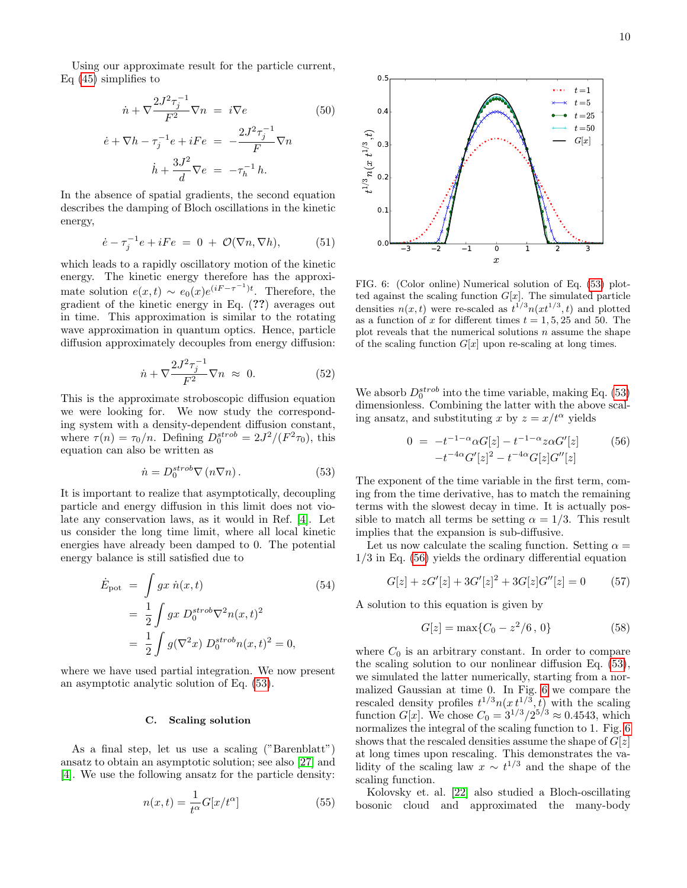Using our approximate result for the particle current, Eq [\(45\)](#page-8-0) simplifies to

$$
\dot{n} + \nabla \frac{2J^2 \tau_j^{-1}}{F^2} \nabla n = i \nabla e \qquad (50)
$$

$$
\dot{e} + \nabla h - \tau_j^{-1} e + i F e = -\frac{2J^2 \tau_j^{-1}}{F} \nabla n
$$

$$
\dot h + \frac{3J^2}{d}\nabla e\ =\ -\tau_h^{-1}\,h.
$$

In the absence of spatial gradients, the second equation describes the damping of Bloch oscillations in the kinetic energy,

<span id="page-9-0"></span>
$$
\dot{e} - \tau_j^{-1} e + iFe = 0 + \mathcal{O}(\nabla n, \nabla h), \tag{51}
$$

which leads to a rapidly oscillatory motion of the kinetic energy. The kinetic energy therefore has the approximate solution  $e(x,t) \sim e_0(x)e^{(iF-\tau^{-1})t}$ . Therefore, the gradient of the kinetic energy in Eq. (??) averages out in time. This approximation is similar to the rotating wave approximation in quantum optics. Hence, particle diffusion approximately decouples from energy diffusion:

$$
\dot{n} + \nabla \frac{2J^2 \tau_j^{-1}}{F^2} \nabla n \approx 0. \tag{52}
$$

This is the approximate stroboscopic diffusion equation we were looking for. We now study the corresponding system with a density-dependent diffusion constant, where  $\tau(n) = \tau_0/n$ . Defining  $D_0^{strob} = 2J^2/(F^2 \tau_0)$ , this equation can also be written as

<span id="page-9-1"></span>
$$
\dot{n} = D_0^{strob} \nabla \left( n \nabla n \right). \tag{53}
$$

It is important to realize that asymptotically, decoupling particle and energy diffusion in this limit does not violate any conservation laws, as it would in Ref. [\[4\]](#page-10-4). Let us consider the long time limit, where all local kinetic energies have already been damped to 0. The potential energy balance is still satisfied due to

$$
\dot{E}_{\text{pot}} = \int gx \ \dot{n}(x, t) \tag{54}
$$
\n
$$
= \frac{1}{2} \int gx \ D_0^{strob} \nabla^2 n(x, t)^2
$$
\n
$$
= \frac{1}{2} \int g(\nabla^2 x) \ D_0^{strob} n(x, t)^2 = 0,
$$

where we have used partial integration. We now present an asymptotic analytic solution of Eq. [\(53\)](#page-9-1).

### C. Scaling solution

As a final step, let us use a scaling ("Barenblatt") ansatz to obtain an asymptotic solution; see also [\[27\]](#page-11-7) and [\[4\]](#page-10-4). We use the following ansatz for the particle density:

$$
n(x,t) = \frac{1}{t^{\alpha}} G[x/t^{\alpha}]
$$
\n(55)



<span id="page-9-3"></span>FIG. 6: (Color online) Numerical solution of Eq. [\(53\)](#page-9-1) plotted against the scaling function  $G[x]$ . The simulated particle densities  $n(x,t)$  were re-scaled as  $t^{1/3}n(xt^{1/3},t)$  and plotted as a function of x for different times  $t = 1, 5, 25$  and 50. The plot reveals that the numerical solutions  $n$  assume the shape of the scaling function  $G[x]$  upon re-scaling at long times.

We absorb  $D_0^{strob}$  into the time variable, making Eq. [\(53\)](#page-9-1) dimensionless. Combining the latter with the above scaling ansatz, and substituting x by  $z = x/t^{\alpha}$  yields

<span id="page-9-2"></span>
$$
0 = -t^{-1-\alpha} \alpha G[z] - t^{-1-\alpha} z \alpha G'[z]
$$
(56)  

$$
-t^{-4\alpha} G'[z]^2 - t^{-4\alpha} G[z] G''[z]
$$

The exponent of the time variable in the first term, coming from the time derivative, has to match the remaining terms with the slowest decay in time. It is actually possible to match all terms be setting  $\alpha = 1/3$ . This result implies that the expansion is sub-diffusive.

Let us now calculate the scaling function. Setting  $\alpha =$ 1/3 in Eq. [\(56\)](#page-9-2) yields the ordinary differential equation

$$
G[z] + zG'[z] + 3G'[z]^2 + 3G[z]G''[z] = 0 \tag{57}
$$

A solution to this equation is given by

$$
G[z] = \max\{C_0 - z^2/6, 0\}
$$
 (58)

where  $C_0$  is an arbitrary constant. In order to compare the scaling solution to our nonlinear diffusion Eq. [\(53\)](#page-9-1), we simulated the latter numerically, starting from a normalized Gaussian at time 0. In Fig. [6](#page-9-3) we compare the rescaled density profiles  $t^{1/3}n(x t^{1/3}, t)$  with the scaling function  $G[x]$ . We chose  $C_0 = 3^{1/3}/2^{5/3} \approx 0.4543$ , which normalizes the integral of the scaling function to 1. Fig. [6](#page-9-3) shows that the rescaled densities assume the shape of  $G[z]$ at long times upon rescaling. This demonstrates the validity of the scaling law  $x \sim t^{1/3}$  and the shape of the scaling function.

Kolovsky et. al. [\[22\]](#page-11-2) also studied a Bloch-oscillating bosonic cloud and approximated the many-body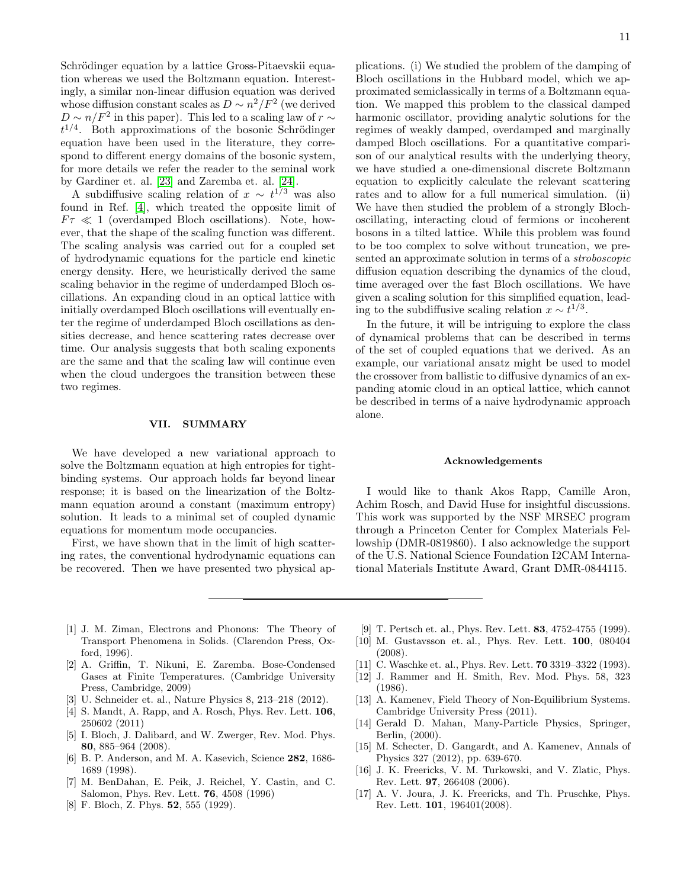Schrödinger equation by a lattice Gross-Pitaevskii equation whereas we used the Boltzmann equation. Interestingly, a similar non-linear diffusion equation was derived whose diffusion constant scales as  $D \sim n^2/F^2$  (we derived  $D \sim n/F^2$  in this paper). This led to a scaling law of  $r \sim$  $t^{1/4}$ . Both approximations of the bosonic Schrödinger equation have been used in the literature, they correspond to different energy domains of the bosonic system, for more details we refer the reader to the seminal work by Gardiner et. al. [\[23\]](#page-11-8) and Zaremba et. al. [\[24\]](#page-11-1).

A subdiffusive scaling relation of  $x \sim t^{1/3}$  was also found in Ref. [\[4\]](#page-10-4), which treated the opposite limit of  $F\tau \ll 1$  (overdamped Bloch oscillations). Note, however, that the shape of the scaling function was different. The scaling analysis was carried out for a coupled set of hydrodynamic equations for the particle end kinetic energy density. Here, we heuristically derived the same scaling behavior in the regime of underdamped Bloch oscillations. An expanding cloud in an optical lattice with initially overdamped Bloch oscillations will eventually enter the regime of underdamped Bloch oscillations as densities decrease, and hence scattering rates decrease over time. Our analysis suggests that both scaling exponents are the same and that the scaling law will continue even when the cloud undergoes the transition between these two regimes.

# VII. SUMMARY

We have developed a new variational approach to solve the Boltzmann equation at high entropies for tightbinding systems. Our approach holds far beyond linear response; it is based on the linearization of the Boltzmann equation around a constant (maximum entropy) solution. It leads to a minimal set of coupled dynamic equations for momentum mode occupancies.

First, we have shown that in the limit of high scattering rates, the conventional hydrodynamic equations can be recovered. Then we have presented two physical ap-

plications. (i) We studied the problem of the damping of Bloch oscillations in the Hubbard model, which we approximated semiclassically in terms of a Boltzmann equation. We mapped this problem to the classical damped harmonic oscillator, providing analytic solutions for the regimes of weakly damped, overdamped and marginally damped Bloch oscillations. For a quantitative comparison of our analytical results with the underlying theory, we have studied a one-dimensional discrete Boltzmann equation to explicitly calculate the relevant scattering rates and to allow for a full numerical simulation. (ii) We have then studied the problem of a strongly Blochoscillating, interacting cloud of fermions or incoherent bosons in a tilted lattice. While this problem was found to be too complex to solve without truncation, we presented an approximate solution in terms of a stroboscopic diffusion equation describing the dynamics of the cloud, time averaged over the fast Bloch oscillations. We have given a scaling solution for this simplified equation, leading to the subdiffusive scaling relation  $x \sim t^{1/3}$ .

In the future, it will be intriguing to explore the class of dynamical problems that can be described in terms of the set of coupled equations that we derived. As an example, our variational ansatz might be used to model the crossover from ballistic to diffusive dynamics of an expanding atomic cloud in an optical lattice, which cannot be described in terms of a naive hydrodynamic approach alone.

#### Acknowledgements

I would like to thank Akos Rapp, Camille Aron, Achim Rosch, and David Huse for insightful discussions. This work was supported by the NSF MRSEC program through a Princeton Center for Complex Materials Fellowship (DMR-0819860). I also acknowledge the support of the U.S. National Science Foundation I2CAM International Materials Institute Award, Grant DMR-0844115.

- <span id="page-10-0"></span>[1] J. M. Ziman, Electrons and Phonons: The Theory of Transport Phenomena in Solids. (Clarendon Press, Oxford, 1996).
- <span id="page-10-1"></span>[2] A. Griffin, T. Nikuni, E. Zaremba. Bose-Condensed Gases at Finite Temperatures. (Cambridge University Press, Cambridge, 2009)
- <span id="page-10-2"></span>[3] U. Schneider et. al., Nature Physics 8, 213–218 (2012).
- <span id="page-10-4"></span>[4] S. Mandt, A. Rapp, and A. Rosch, Phys. Rev. Lett. **106**, 250602 (2011)
- <span id="page-10-3"></span>[5] I. Bloch, J. Dalibard, and W. Zwerger, Rev. Mod. Phys. 80, 885–964 (2008).
- <span id="page-10-7"></span>[6] B. P. Anderson, and M. A. Kasevich, Science 282, 1686- 1689 (1998).
- <span id="page-10-8"></span>[7] M. BenDahan, E. Peik, J. Reichel, Y. Castin, and C. Salomon, Phys. Rev. Lett. 76, 4508 (1996)
- <span id="page-10-9"></span>[8] F. Bloch, Z. Phys. 52, 555 (1929).
- <span id="page-10-11"></span>[9] T. Pertsch et. al., Phys. Rev. Lett. **83**, 4752-4755 (1999).
- <span id="page-10-12"></span>[10] M. Gustavsson et. al., Phys. Rev. Lett. 100, 080404 (2008).
- <span id="page-10-10"></span>[11] C. Waschke et. al., Phys. Rev. Lett. **70** 3319-3322 (1993).
- <span id="page-10-5"></span>[12] J. Rammer and H. Smith, Rev. Mod. Phys. 58, 323 (1986).
- [13] A. Kamenev, Field Theory of Non-Equilibrium Systems. Cambridge University Press (2011).
- <span id="page-10-6"></span>[14] Gerald D. Mahan, Many-Particle Physics, Springer, Berlin, (2000).
- <span id="page-10-13"></span>[15] M. Schecter, D. Gangardt, and A. Kamenev, Annals of Physics 327 (2012), pp. 639-670.
- <span id="page-10-14"></span>[16] J. K. Freericks, V. M. Turkowski, and V. Zlatic, Phys. Rev. Lett. 97, 266408 (2006).
- <span id="page-10-15"></span>[17] A. V. Joura, J. K. Freericks, and Th. Pruschke, Phys. Rev. Lett. 101, 196401(2008).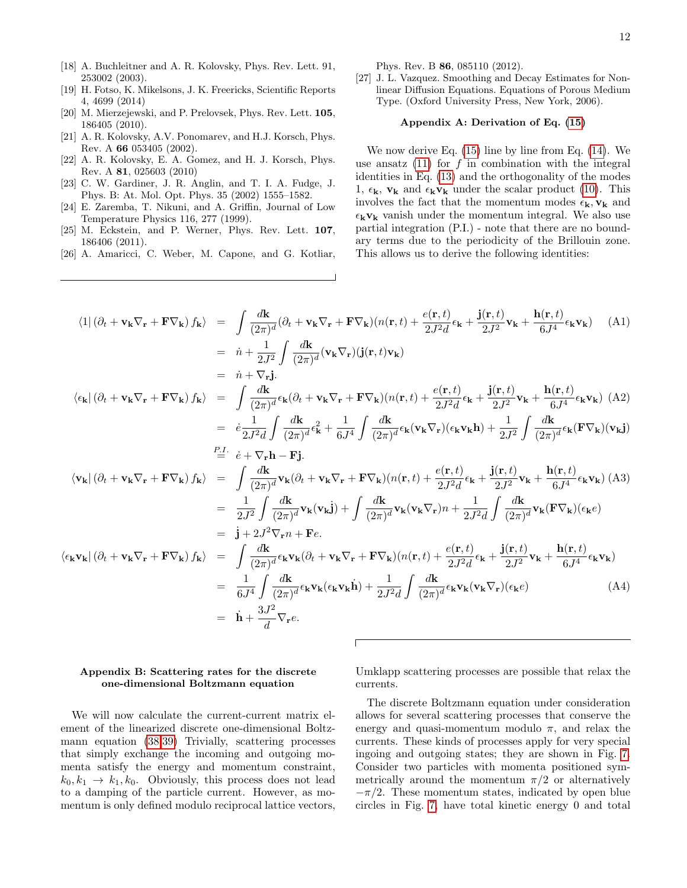- <span id="page-11-5"></span>[18] A. Buchleitner and A. R. Kolovsky, Phys. Rev. Lett. 91, 253002 (2003).
- [19] H. Fotso, K. Mikelsons, J. K. Freericks, Scientific Reports 4, 4699 (2014)
- [20] M. Mierzejewski, and P. Prelovsek, Phys. Rev. Lett. 105, 186405 (2010).
- [21] A. R. Kolovsky, A.V. Ponomarev, and H.J. Korsch, Phys. Rev. A 66 053405 (2002).
- <span id="page-11-2"></span>[22] A. R. Kolovsky, E. A. Gomez, and H. J. Korsch, Phys. Rev. A 81, 025603 (2010)
- <span id="page-11-8"></span>[23] C. W. Gardiner, J. R. Anglin, and T. I. A. Fudge, J. Phys. B: At. Mol. Opt. Phys. 35 (2002) 1555–1582.
- <span id="page-11-1"></span>[24] E. Zaremba, T. Nikuni, and A. Griffin, Journal of Low Temperature Physics 116, 277 (1999).
- <span id="page-11-3"></span>[25] M. Eckstein, and P. Werner, Phys. Rev. Lett. 107, 186406 (2011).
- <span id="page-11-4"></span>[26] A. Amaricci, C. Weber, M. Capone, and G. Kotliar,

Phys. Rev. B 86, 085110 (2012).

<span id="page-11-7"></span>[27] J. L. Vazquez. Smoothing and Decay Estimates for Nonlinear Diffusion Equations. Equations of Porous Medium Type. (Oxford University Press, New York, 2006).

### <span id="page-11-0"></span>Appendix A: Derivation of Eq. [\(15\)](#page-2-3)

We now derive Eq. [\(15\)](#page-2-3) line by line from Eq. [\(14\)](#page-2-5). We use ansatz  $(11)$  for f in combination with the integral identities in Eq. [\(13\)](#page-2-2) and the orthogonality of the modes 1,  $\epsilon_{\mathbf{k}}$ ,  $\mathbf{v}_{\mathbf{k}}$  and  $\epsilon_{\mathbf{k}}\mathbf{v}_{\mathbf{k}}$  under the scalar product [\(10\)](#page-2-6). This involves the fact that the momentum modes  $\epsilon_{\mathbf{k}}$ ,  $\mathbf{v}_{\mathbf{k}}$  and  $\epsilon_k v_k$  vanish under the momentum integral. We also use partial integration (P.I.) - note that there are no boundary terms due to the periodicity of the Brillouin zone. This allows us to derive the following identities:

$$
\langle 1|(\partial_t + \mathbf{v}_k \nabla_r + \mathbf{F} \nabla_k) f_k \rangle = \int \frac{d\mathbf{k}}{(2\pi)^d} (\partial_t + \mathbf{v}_k \nabla_r + \mathbf{F} \nabla_k) (n(\mathbf{r}, t) + \frac{e(\mathbf{r}, t)}{2J^2 d} \epsilon_k + \frac{\mathbf{j}(\mathbf{r}, t)}{2J^2} \mathbf{v}_k + \frac{\mathbf{h}(\mathbf{r}, t)}{6J^4} \epsilon_k \mathbf{v}_k)
$$
\n
$$
= \dot{n} + \frac{1}{2J^2} \int \frac{d\mathbf{k}}{(2\pi)^d} (\mathbf{v}_k \nabla_r) (\mathbf{j}(\mathbf{r}, t) \mathbf{v}_k)
$$
\n
$$
= \dot{n} + \nabla_r \mathbf{j}.
$$
\n
$$
\langle \epsilon_k | (\partial_t + \mathbf{v}_k \nabla_r + \mathbf{F} \nabla_k) f_k \rangle = \int \frac{d\mathbf{k}}{(2\pi)^d} \epsilon_k (\partial_t + \mathbf{v}_k \nabla_r + \mathbf{F} \nabla_k) (n(\mathbf{r}, t) + \frac{e(\mathbf{r}, t)}{2J^2 d} \epsilon_k + \frac{\mathbf{j}(\mathbf{r}, t)}{2J^2} \mathbf{v}_k + \frac{\mathbf{h}(\mathbf{r}, t)}{6J^4} \epsilon_k \mathbf{v}_k)
$$
\n
$$
= \dot{\epsilon} \frac{1}{2J^2 d} \int \frac{d\mathbf{k}}{(2\pi)^d} \epsilon_k (\partial_t + \mathbf{v}_k \nabla_r + \mathbf{F} \nabla_k) (n(\mathbf{r}, t) + \frac{e(\mathbf{r}, t)}{2J^2 d} \epsilon_k (\mathbf{v}_k \mathbf{v}_k) + \frac{1}{2J^2} \int \frac{d\mathbf{k}}{(2\pi)^d} \epsilon_k (\mathbf{F} \nabla_k) (\mathbf{v}_k \mathbf{j})
$$
\n
$$
= \frac{P_{\perp}}{2J^2 d} \int \frac{d\mathbf{k}}{(2\pi)^d} \mathbf{v}_k (\partial_t + \mathbf{v}_k \nabla_r + \mathbf{F} \nabla_k) (n(\mathbf{r}, t) + \frac{e(\mathbf{r
$$

### <span id="page-11-6"></span>Appendix B: Scattering rates for the discrete one-dimensional Boltzmann equation

We will now calculate the current-current matrix element of the linearized discrete one-dimensional Boltzmann equation [\(38,](#page-6-0)[39\)](#page-6-1) Trivially, scattering processes that simply exchange the incoming and outgoing momenta satisfy the energy and momentum constraint,  $k_0, k_1 \rightarrow k_1, k_0$ . Obviously, this process does not lead to a damping of the particle current. However, as momentum is only defined modulo reciprocal lattice vectors,

Umklapp scattering processes are possible that relax the currents.

The discrete Boltzmann equation under consideration allows for several scattering processes that conserve the energy and quasi-momentum modulo  $\pi$ , and relax the currents. These kinds of processes apply for very special ingoing and outgoing states; they are shown in Fig. [7.](#page-12-0) Consider two particles with momenta positioned symmetrically around the momentum  $\pi/2$  or alternatively  $-\pi/2$ . These momentum states, indicated by open blue circles in Fig. [7,](#page-12-0) have total kinetic energy 0 and total